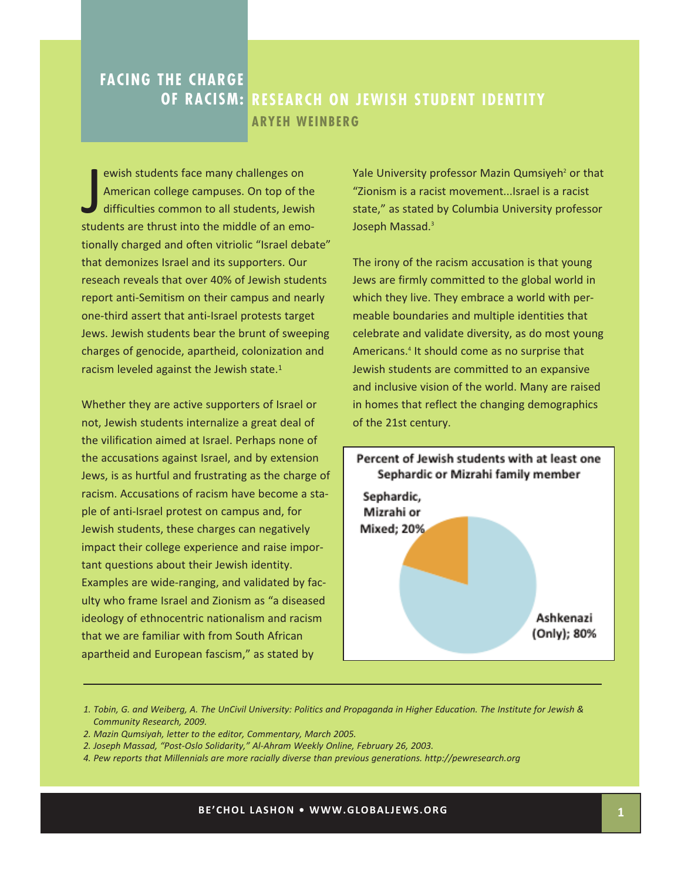## **FACING THE CHARGE OF RACISM: RESEARCH ON JEWISH STUDENT IDENTITY ARYEH WEINBERG**

ewish students face many challenges on<br>American college campuses. On top of the<br>difficulties common to all students, Jewish<br>students are thrust into the middle of an emoewish students face many challenges on American college campuses. On top of the difficulties common to all students, Jewish tionally charged and often vitriolic "Israel debate" that demonizes Israel and its supporters. Our reseach reveals that over 40% of Jewish students report anti‐Semitism on their campus and nearly one‐third assert that anti‐Israel protests target Jews. Jewish students bear the brunt of sweeping charges of genocide, apartheid, colonization and racism leveled against the Jewish state.1

Whether they are active supporters of Israel or not, Jewish students internalize a great deal of the vilification aimed at Israel. Perhaps none of the accusations against Israel, and by extension Jews, is as hurtful and frustrating as the charge of racism. Accusations of racism have become a sta‐ ple of anti‐Israel protest on campus and, for Jewish students, these charges can negatively impact their college experience and raise impor‐ tant questions about their Jewish identity. Examples are wide‐ranging, and validated by fac‐ ulty who frame Israel and Zionism as "a diseased ideology of ethnocentric nationalism and racism that we are familiar with from South African apartheid and European fascism," as stated by

Yale University professor Mazin Qumsiyeh<sup>2</sup> or that "Zionism is a racist movement...Israel is a racist state," as stated by Columbia University professor Joseph Massad.<sup>3</sup>

The irony of the racism accusation is that young Jews are firmly committed to the global world in which they live. They embrace a world with permeable boundaries and multiple identities that celebrate and validate diversity, as do most young Americans.4 It should come as no surprise that Jewish students are committed to an expansive and inclusive vision of the world. Many are raised in homes that reflect the changing demographics of the 21st century.



*<sup>1.</sup> Tobin, G. and Weiberg, A. The UnCivil University: Politics and Propaganda in Higher Education. The Institute for Jewish & Community Research, 2009.*

- *2. Mazin Qumsiyah, letter to the editor, Commentary, March 2005.*
- *2. Joseph Massad, "Post‐Oslo Solidarity," Al‐Ahram Weekly Online, February 26, 2003.*
- *4. Pew reports that Millennials are more racially diverse than previous generations. http://pewresearch.org*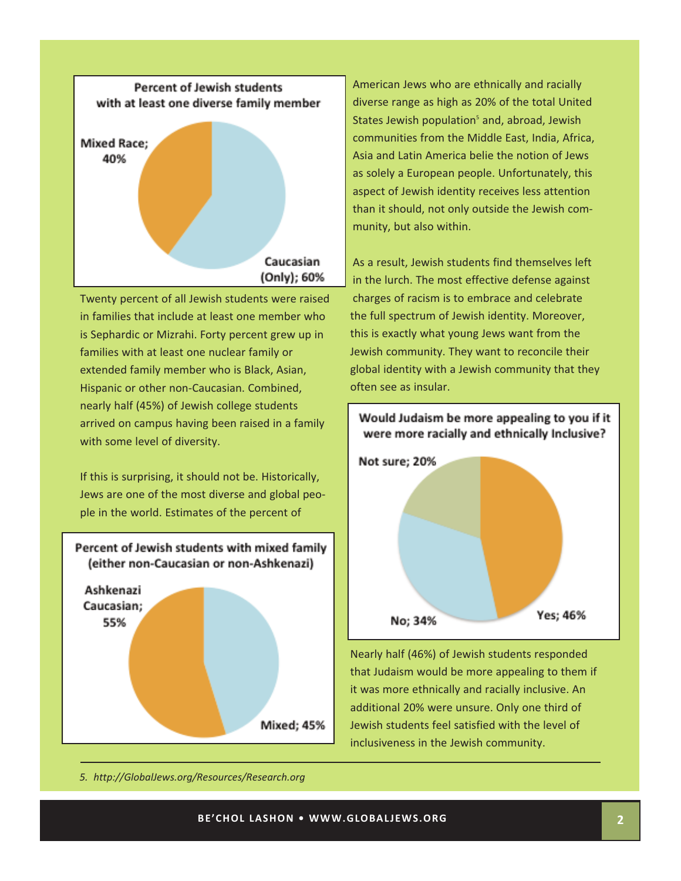

Twenty percent of all Jewish students were raised in families that include at least one member who is Sephardic or Mizrahi. Forty percent grew up in families with at least one nuclear family or extended family member who is Black, Asian, Hispanic or other non‐Caucasian. Combined, nearly half (45%) of Jewish college students arrived on campus having been raised in a family with some level of diversity.

If this is surprising, it should not be. Historically, Jews are one of the most diverse and global peo‐ ple in the world. Estimates of the percent of



American Jews who are ethnically and racially diverse range as high as 20% of the total United States Jewish population<sup>5</sup> and, abroad, Jewish communities from the Middle East, India, Africa, Asia and Latin America belie the notion of Jews as solely a European people. Unfortunately, this aspect of Jewish identity receives less attention than it should, not only outside the Jewish com‐ munity, but also within.

As a result, Jewish students find themselves left in the lurch. The most effective defense against charges of racism is to embrace and celebrate the full spectrum of Jewish identity. Moreover, this is exactly what young Jews want from the Jewish community. They want to reconcile their global identity with a Jewish community that they often see as insular.



Nearly half (46%) of Jewish students responded that Judaism would be more appealing to them if it was more ethnically and racially inclusive. An additional 20% were unsure. Only one third of Jewish students feel satisfied with the level of inclusiveness in the Jewish community.

*5. http://GlobalJews.org/Resources/Research.org*